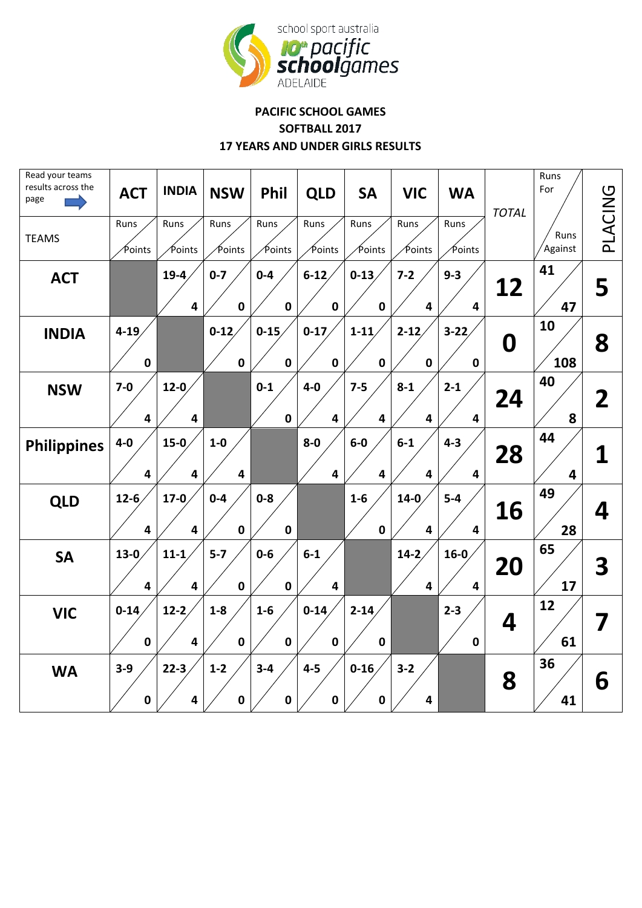

## **PACIFIC SCHOOL GAMES SOFTBALL 2017 17 YEARS AND UNDER GIRLS RESULTS**

| Read your teams<br>results across the<br>page<br><b>TEAMS</b> | <b>ACT</b><br>Runs<br>∕Points    | <b>INDIA</b><br>Runs<br>Points    | <b>NSW</b><br>Runs<br>Points | Phil<br>Runs<br>Points  | <b>QLD</b><br>Runs<br>Points     | <b>SA</b><br>Runs<br>Points | <b>VIC</b><br>Runs<br>Points      | <b>WA</b><br>Runs<br>Points        | <b>TOTAL</b> | Runs<br>For<br>Runs<br>Against | PLACING |
|---------------------------------------------------------------|----------------------------------|-----------------------------------|------------------------------|-------------------------|----------------------------------|-----------------------------|-----------------------------------|------------------------------------|--------------|--------------------------------|---------|
| <b>ACT</b>                                                    |                                  | $19-4$<br>$\overline{\mathbf{4}}$ | $0 - 7$<br>$\mathbf 0$       | $0 - 4$<br>$\mathbf 0$  | $6 - 12$<br>$\pmb{0}$            | $0 - 13$<br>$\mathbf 0$     | $7 - 2$<br>4                      | $9 - 3$<br>4                       | 12           | 41<br>47                       | 5       |
| <b>INDIA</b>                                                  | $4 - 19$<br>$\pmb{0}$            |                                   | $0 - 12$<br>$\mathbf 0$      | $0 - 15$<br>$\mathbf 0$ | $0 - 17$<br>$\mathbf 0$          | $1 - 11$<br>$\mathbf 0$     | $2 - 12$<br>$\pmb{0}$             | $3 - 22$<br>$\pmb{0}$              | 0            | 10<br>108                      | 8       |
| <b>NSW</b>                                                    | $7-0$<br>$\overline{\mathbf{4}}$ | $12-0$<br>4                       |                              | $0 - 1$<br>$\mathbf 0$  | $4-0$<br>$\overline{4}$          | $7 - 5$<br>$\overline{4}$   | $8 - 1$<br>4                      | $2 - 1$<br>$\overline{\mathbf{4}}$ | 24           | 40<br>8                        | 2       |
| <b>Philippines</b>                                            | $4-0$<br>$\overline{\mathbf{4}}$ | $15-0$<br>$\overline{\mathbf{4}}$ | $1-0$<br>4                   |                         | $8-0$<br>$\overline{\mathbf{4}}$ | $6-0$<br>$\overline{4}$     | $6-1$<br>4                        | $4 - 3$<br>4                       | 28           | 44<br>$\overline{\mathbf{4}}$  | 1       |
| <b>QLD</b>                                                    | $12 - 6$<br>4                    | $17-0$<br>$\overline{\mathbf{4}}$ | $0-4$<br>$\mathbf 0$         | $0 - 8$<br>$\mathbf 0$  |                                  | $1-6$<br>$\mathbf 0$        | $14-0$<br>$\overline{\mathbf{4}}$ | $5-4$<br>4                         | 16           | 49<br>28                       | 4       |
| <b>SA</b>                                                     | $13-0$<br>4                      | $11 - 1$<br>4                     | $5 - 7$<br>$\mathbf 0$       | $0-6$<br>$\mathbf 0$    | $6-1$<br>$\overline{4}$          |                             | $14-2$<br>$\overline{\mathbf{4}}$ | $16-0$<br>$\overline{\mathbf{4}}$  | 20           | 65<br>17                       | 3       |
| <b>VIC</b>                                                    | $0 - 14$<br>$\mathbf 0$          | $12-2$<br>4                       | $1-8$<br>$\mathbf 0$         | $1-6$<br>$\mathbf 0$    | $0 - 14$<br>$\mathbf 0$          | $2 - 14$<br>$\mathbf 0$     |                                   | $2 - 3$<br>$\pmb{0}$               | 4            | 12<br>61                       |         |
| <b>WA</b>                                                     | $3 - 9$<br>$\pmb{0}$             | $22-3$<br>4                       | $1 - 2$<br>$\mathbf 0$       | $3 - 4$<br>$\mathbf 0$  | $4-5$<br>$\pmb{0}$               | $0 - 16$<br>0               | $3 - 2$<br>4                      |                                    | 8            | 36<br>41                       | 6       |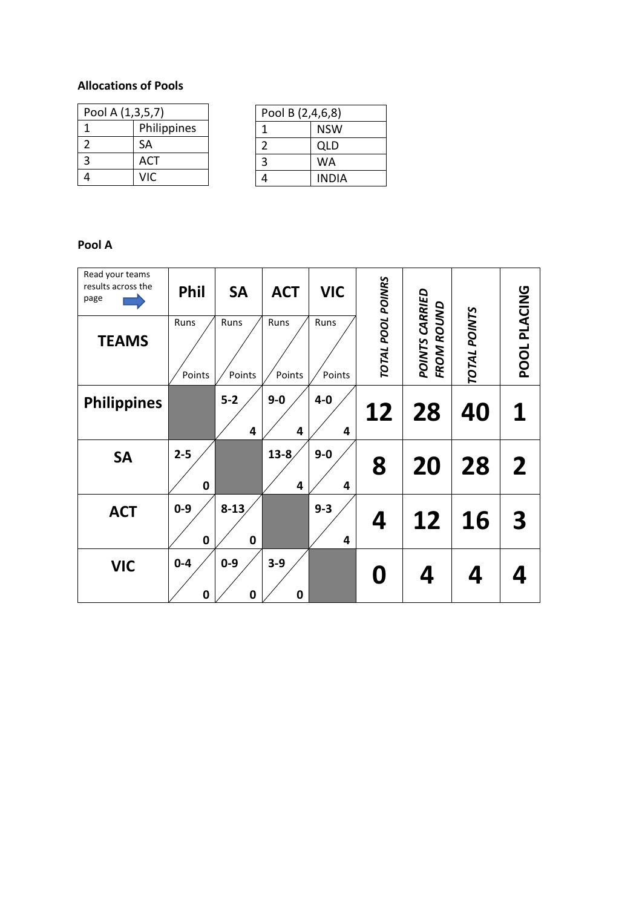## **Allocations of Pools**

| Pool A (1,3,5,7) |             |  |  |  |  |
|------------------|-------------|--|--|--|--|
|                  | Philippines |  |  |  |  |
| 2                | <b>SA</b>   |  |  |  |  |
| 3                | ACT         |  |  |  |  |
|                  | VIC.        |  |  |  |  |

| Pool B (2,4,6,8) |       |  |  |  |  |
|------------------|-------|--|--|--|--|
| 1                | NSW   |  |  |  |  |
| 2                | QLD   |  |  |  |  |
| 3                | WA    |  |  |  |  |
| 4                | INDIA |  |  |  |  |

## **Pool A**

| Read your teams<br>results across the<br>page | Phil                   | <b>SA</b>               | <b>ACT</b>     | <b>VIC</b>     |                   |                                     |              |                         |
|-----------------------------------------------|------------------------|-------------------------|----------------|----------------|-------------------|-------------------------------------|--------------|-------------------------|
| <b>TEAMS</b>                                  | Runs<br>Points         | Runs<br>Points          | Runs<br>Points | Runs<br>Points | TOTAL POOL POINRS | POINTS CARRIED<br><b>FROM ROUND</b> | TOTAL POINTS | POOL PLACING            |
| <b>Philippines</b>                            |                        | $5-2$<br>4              | $9-0$<br>4     | $4-0$<br>4     | 12                | 28                                  | 40           | 1                       |
| <b>SA</b>                                     | $2 - 5$<br>$\mathbf 0$ |                         | $13 - 8$<br>4  | $9 - 0$<br>4   | 8                 | 20                                  | 28           | $\overline{2}$          |
| <b>ACT</b>                                    | $0 - 9$<br>$\mathbf 0$ | $8 - 13$<br>$\mathbf 0$ |                | $9 - 3$<br>4   | 4                 | 12                                  | <b>16</b>    | $\overline{\mathbf{3}}$ |
| <b>VIC</b>                                    | $0 - 4$<br>$\bf{0}$    | $0 - 9$<br>0            | $3-9$<br>0     |                | 0                 | 4                                   | 4            |                         |